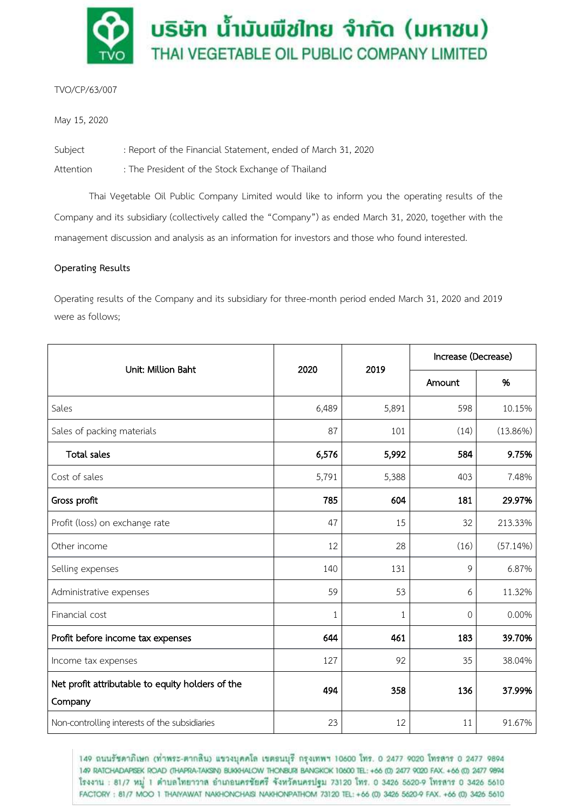

# TVO/CP/63/007

May 15, 2020

Subject : Report of the Financial Statement, ended of March 31, 2020

Attention : The President of the Stock Exchange of Thailand

Thai Vegetable Oil Public Company Limited would like to inform you the operating results of the Company and its subsidiary (collectively called the "Company") as ended March 31, 2020, together with the management discussion and analysis as an information for investors and those who found interested.

### **Operating Results**

Operating results of the Company and its subsidiary for three-month period ended March 31, 2020 and 2019 were as follows;

| Unit: Million Baht                                          | 2020  | 2019         | Increase (Decrease) |             |
|-------------------------------------------------------------|-------|--------------|---------------------|-------------|
|                                                             |       |              | Amount              | %           |
| Sales                                                       | 6,489 | 5,891        | 598                 | 10.15%      |
| Sales of packing materials                                  | 87    | 101          | (14)                | $(13.86\%)$ |
| <b>Total sales</b>                                          | 6,576 | 5,992        | 584                 | 9.75%       |
| Cost of sales                                               | 5,791 | 5,388        | 403                 | 7.48%       |
| Gross profit                                                | 785   | 604          | 181                 | 29.97%      |
| Profit (loss) on exchange rate                              | 47    | 15           | 32                  | 213.33%     |
| Other income                                                | 12    | 28           | (16)                | (57.14%)    |
| Selling expenses                                            | 140   | 131          | 9                   | 6.87%       |
| Administrative expenses                                     | 59    | 53           | 6                   | 11.32%      |
| Financial cost                                              | 1     | $\mathbf{1}$ | 0                   | 0.00%       |
| Profit before income tax expenses                           | 644   | 461          | 183                 | 39.70%      |
| Income tax expenses                                         | 127   | 92           | 35                  | 38.04%      |
| Net profit attributable to equity holders of the<br>Company | 494   | 358          | 136                 | 37.99%      |
| Non-controlling interests of the subsidiaries               | 23    | 12           | 11                  | 91.67%      |

149 ถนนรัชดาภิเษก (ท่าพระ-ตากลิน) แขวงบุคคโล เขตลนบุรี กรุงเทพฯ 10600 โทร. 0 2477 9020 โทรสาร 0 2477 9894 149 RATCHADAPISEK ROAD (THAPRA-TAKSIN) BUKKHALOW THONBURI BANGKOK 10600 TEL: +66 (0) 2477 9020 FAX. +66 (0) 2477 9894 โรงงาน : 81/7 หมู่ 1 ตำบลไทยาวาล อำเภอนครชัยศรี จังหวัดนครปฐม 73120 โทร. 0 3426 5620-9 โทรสาร 0 3426 5610 FACTORY: 81/7 MOO 1 THAIYAWAT NAKHONCHAISI NAKHONPATHOM 73120 TEL: +66 (0) 3426 5620-9 FAX. +66 (0) 3426 5610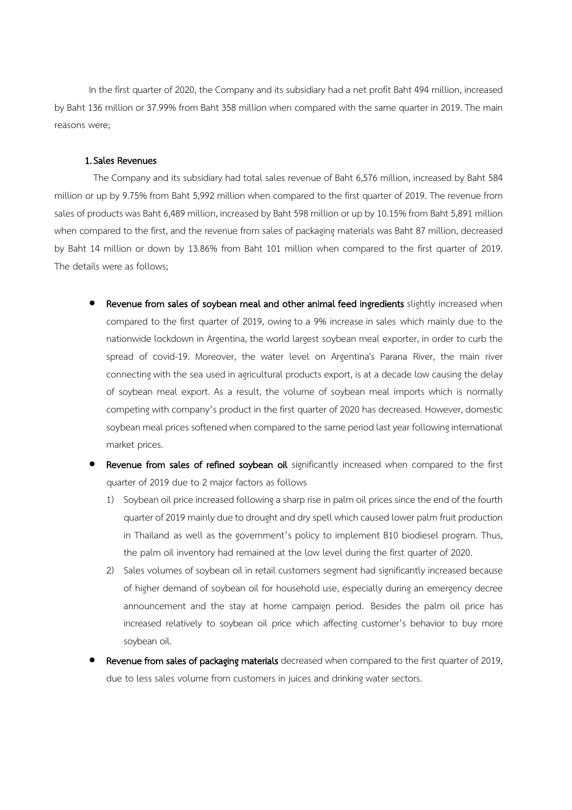In the first quarter of 2020, the Company and its subsidiary had a net profit Baht 494 million, increased by Baht 136 million or 37.99% from Baht 358 million when compared with the same quarter in 2019. The main reasons were;

#### 1.Sales Revenues

The Company and its subsidiary had total sales revenue of Baht 6,576 million, increased by Baht 584 million or up by 9.75% from Baht 5,992 million when compared to the first quarter of 2019. The revenue from sales of products was Baht 6,489 million, increased by Baht 598 million or up by 10.15% from Baht 5,891 million when compared to the first, and the revenue from sales of packaging materials was Baht 87 million, decreased by Baht 14 million or down by 13.86% from Baht 101 million when compared to the first quarter of 2019. The details were as follows;

- Revenue from sales of soybean meal and other animal feed ingredients slightly increased when compared to the first quarter of 2019, owing to a 9% increase in sales which mainly due to the nationwide lockdown in Argentina, the world largest soybean meal exporter, in order to curb the spread of covid-19. Moreover, the water level on Argentina's Parana River, the main river connecting with the sea used in agricultural products export, is at a decade low causing the delay of soybean meal export. As a result, the volume of soybean meal imports which is normally competing with company's product in the first quarter of 2020 has decreased. However, domestic soybean meal prices softened when compared to the same period last year following international market prices.
- Revenue from sales of refined soybean oil significantly increased when compared to the first quarter of 2019 due to 2 major factors as follows
	- 1) Soybean oil price increased following a sharp rise in palm oil prices since the end of the fourth quarter of 2019 mainly due to drought and dry spell which caused lower palm fruit production in Thailand as well as the government's policy to implement B10 biodiesel program. Thus, the palm oil inventory had remained at the low level during the first quarter of 2020.
	- 2) Sales volumes of soybean oil in retail customers segment had significantly increased because of higher demand of soybean oil for household use, especially during an emergency decree announcement and the stay at home campaign period. Besides the palm oil price has increased relatively to soybean oil price which affecting customer's behavior to buy more soybean oil.
- Revenue from sales of packaging materials decreased when compared to the first quarter of 2019, due to less sales volume from customers in juices and drinking water sectors.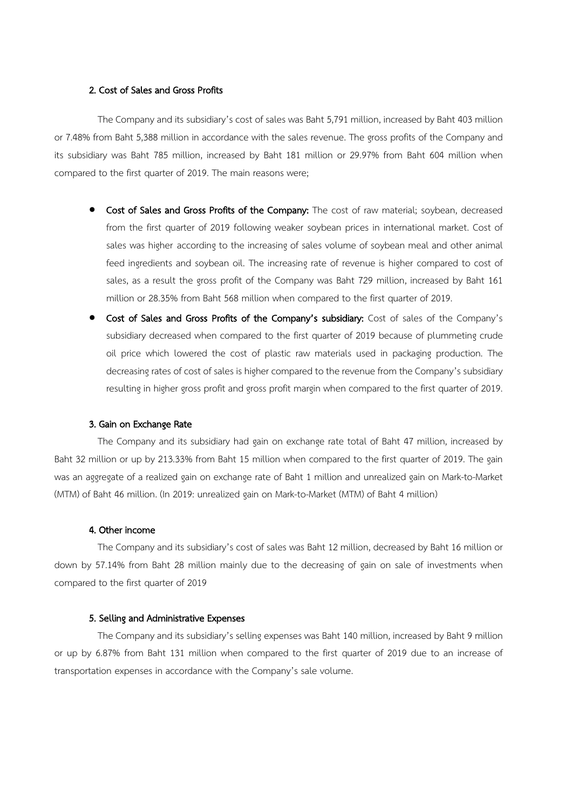# 2. Cost of Sales and Gross Profits

The Company and its subsidiary's cost of sales was Baht 5,791 million, increased by Baht 403 million or 7.48% from Baht 5,388 million in accordance with the sales revenue. The gross profits of the Company and its subsidiary was Baht 785 million, increased by Baht 181 million or 29.97% from Baht 604 million when compared to the first quarter of 2019. The main reasons were;

- Cost of Sales and Gross Profits of the Company: The cost of raw material; soybean, decreased from the first quarter of 2019 following weaker soybean prices in international market. Cost of sales was higher according to the increasing of sales volume of soybean meal and other animal feed ingredients and soybean oil. The increasing rate of revenue is higher compared to cost of sales, as a result the gross profit of the Company was Baht 729 million, increased by Baht 161 million or 28.35% from Baht 568 million when compared to the first quarter of 2019.
- Cost of Sales and Gross Profits of the Company's subsidiary: Cost of sales of the Company's subsidiary decreased when compared to the first quarter of 2019 because of plummeting crude oil price which lowered the cost of plastic raw materials used in packaging production. The decreasing rates of cost of sales is higher compared to the revenue from the Company's subsidiary resulting in higher gross profit and gross profit margin when compared to the first quarter of 2019.

#### 3. Gain on Exchange Rate

The Company and its subsidiary had gain on exchange rate total of Baht 47 million, increased by Baht 32 million or up by 213.33% from Baht 15 million when compared to the first quarter of 2019. The gain was an aggregate of a realized gain on exchange rate of Baht 1 million and unrealized gain on Mark-to-Market (MTM) of Baht 46 million. (In 2019: unrealized gain on Mark-to-Market (MTM) of Baht 4 million)

#### 4. Other income

The Company and its subsidiary's cost of sales was Baht 12 million, decreased by Baht 16 million or down by 57.14% from Baht 28 million mainly due to the decreasing of gain on sale of investments when compared to the first quarter of 2019

#### 5. Selling and Administrative Expenses

The Company and its subsidiary's selling expenses was Baht 140 million, increased by Baht 9 million or up by 6.87% from Baht 131 million when compared to the first quarter of 2019 due to an increase of transportation expenses in accordance with the Company's sale volume.